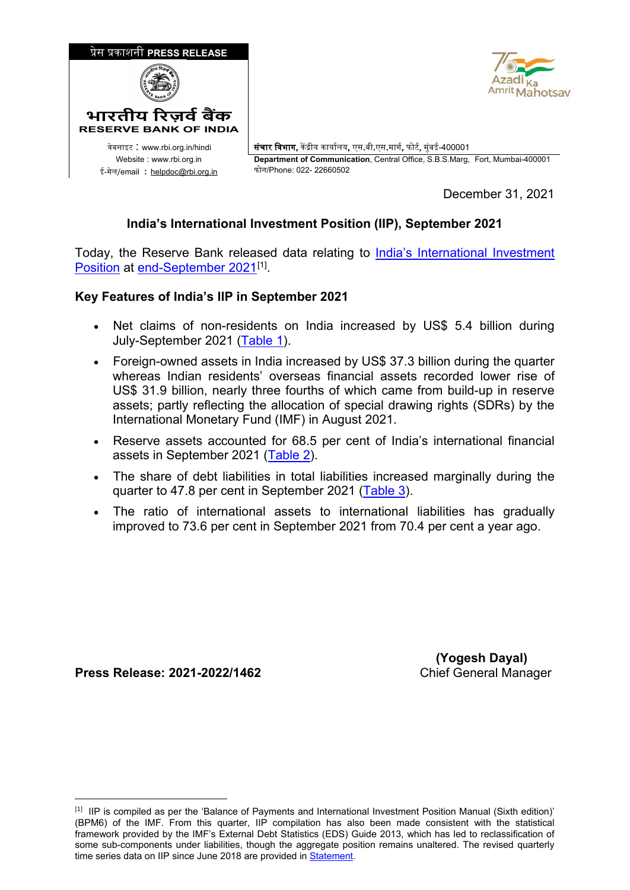

December 31, 2021

## **India's International Investment Position (IIP), September 2021**

Today, the Reserve Bank released data relating to [India's International Investment](https://www.rbi.org.in/scripts/IIPDetails.aspx?Id=132)  [Position](https://www.rbi.org.in/scripts/IIPDetails.aspx?Id=132) at [end-September 2021](https://rbidocs.rbi.org.in/rdocs/content/docs/IIPBPM631122021.xlsx)<sup>[\[1\]](#page-0-0)</sup>.

## **Key Features of India's IIP in September 2021**

- Net claims of non-residents on India increased by US\$ 5.4 billion during July-September 2021 [\(Table 1\)](#page-1-0).
- Foreign-owned assets in India increased by US\$ 37.3 billion during the quarter whereas Indian residents' overseas financial assets recorded lower rise of US\$ 31.9 billion, nearly three fourths of which came from build-up in reserve assets; partly reflecting the allocation of special drawing rights (SDRs) by the International Monetary Fund (IMF) in August 2021.
- Reserve assets accounted for 68.5 per cent of India's international financial assets in September 2021 [\(Table 2\)](#page-1-1).
- The share of debt liabilities in total liabilities increased marginally during the quarter to 47.8 per cent in September 2021 [\(Table 3\)](#page-2-0).
- The ratio of international assets to international liabilities has gradually improved to 73.6 per cent in September 2021 from 70.4 per cent a year ago.

**Press Release: 2021-2022/1462** Chief General Manager

-

 **(Yogesh Dayal)**

<span id="page-0-0"></span><sup>&</sup>lt;sup>[1]</sup> IIP is compiled as per the 'Balance of Payments and International Investment Position Manual (Sixth edition)' (BPM6) of the IMF. From this quarter, IIP compilation has also been made consistent with the statistical framework provided by the IMF's External Debt Statistics (EDS) Guide 2013, which has led to reclassification of some sub-components under liabilities, though the aggregate position remains unaltered. The revised quarterly time series data on IIP since June 2018 are provided in [Statement.](https://rbidocs.rbi.org.in/rdocs/content/docs/IIPBPM631122021.xlsx)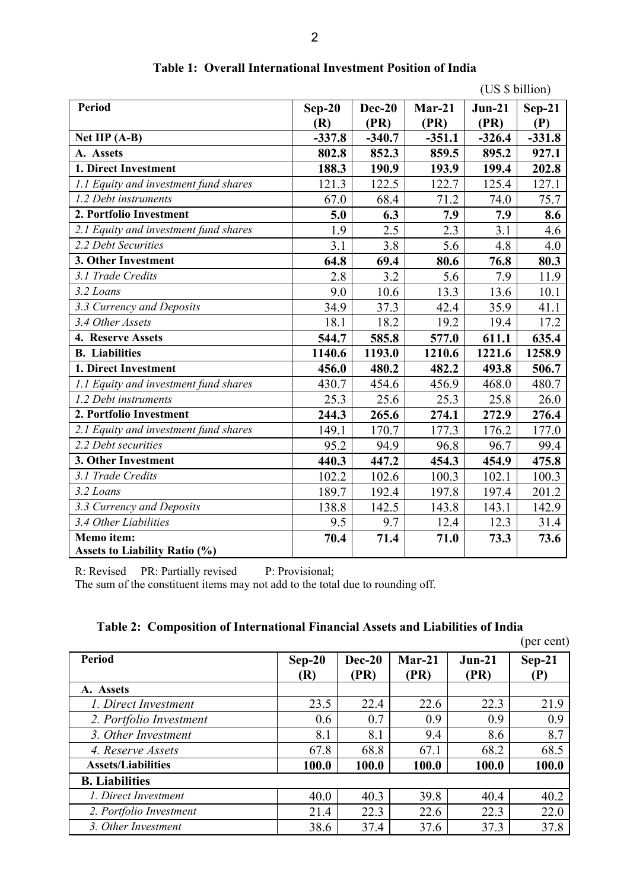<span id="page-1-0"></span>

|                                       |          |               | (US \$ billion) |          |          |  |
|---------------------------------------|----------|---------------|-----------------|----------|----------|--|
| <b>Period</b>                         | $Sep-20$ | <b>Dec-20</b> | $Mar-21$        | $Jun-21$ | $Sep-21$ |  |
|                                       | (R)      | (PR)          | (PR)            | (PR)     | (P)      |  |
| Net IIP (A-B)                         | $-337.8$ | $-340.7$      | $-351.1$        | $-326.4$ | $-331.8$ |  |
| A. Assets                             | 802.8    | 852.3         | 859.5           | 895.2    | 927.1    |  |
| 1. Direct Investment                  | 188.3    | 190.9         | 193.9           | 199.4    | 202.8    |  |
| 1.1 Equity and investment fund shares | 121.3    | 122.5         | 122.7           | 125.4    | 127.1    |  |
| 1.2 Debt instruments                  | 67.0     | 68.4          | 71.2            | 74.0     | 75.7     |  |
| 2. Portfolio Investment               | 5.0      | 6.3           | 7.9             | 7.9      | 8.6      |  |
| 2.1 Equity and investment fund shares | 1.9      | 2.5           | 2.3             | 3.1      | 4.6      |  |
| 2.2 Debt Securities                   | 3.1      | 3.8           | 5.6             | 4.8      | 4.0      |  |
| 3. Other Investment                   | 64.8     | 69.4          | 80.6            | 76.8     | 80.3     |  |
| 3.1 Trade Credits                     | 2.8      | 3.2           | 5.6             | 7.9      | 11.9     |  |
| 3.2 Loans                             | 9.0      | 10.6          | 13.3            | 13.6     | 10.1     |  |
| 3.3 Currency and Deposits             | 34.9     | 37.3          | 42.4            | 35.9     | 41.1     |  |
| 3.4 Other Assets                      | 18.1     | 18.2          | 19.2            | 19.4     | 17.2     |  |
| 4. Reserve Assets                     | 544.7    | 585.8         | 577.0           | 611.1    | 635.4    |  |
| <b>B.</b> Liabilities                 | 1140.6   | 1193.0        | 1210.6          | 1221.6   | 1258.9   |  |
| 1. Direct Investment                  | 456.0    | 480.2         | 482.2           | 493.8    | 506.7    |  |
| 1.1 Equity and investment fund shares | 430.7    | 454.6         | 456.9           | 468.0    | 480.7    |  |
| 1.2 Debt instruments                  | 25.3     | 25.6          | 25.3            | 25.8     | 26.0     |  |
| 2. Portfolio Investment               | 244.3    | 265.6         | 274.1           | 272.9    | 276.4    |  |
| 2.1 Equity and investment fund shares | 149.1    | 170.7         | 177.3           | 176.2    | 177.0    |  |
| 2.2 Debt securities                   | 95.2     | 94.9          | 96.8            | 96.7     | 99.4     |  |
| 3. Other Investment                   | 440.3    | 447.2         | 454.3           | 454.9    | 475.8    |  |
| 3.1 Trade Credits                     | 102.2    | 102.6         | 100.3           | 102.1    | 100.3    |  |
| 3.2 Loans                             | 189.7    | 192.4         | 197.8           | 197.4    | 201.2    |  |
| 3.3 Currency and Deposits             | 138.8    | 142.5         | 143.8           | 143.1    | 142.9    |  |
| 3.4 Other Liabilities                 | 9.5      | 9.7           | 12.4            | 12.3     | 31.4     |  |
| Memo item:                            | 70.4     | 71.4          | 71.0            | 73.3     | 73.6     |  |
| <b>Assets to Liability Ratio (%)</b>  |          |               |                 |          |          |  |

**Table 1: Overall International Investment Position of India**

R: Revised PR: Partially revised P: Provisional;

The sum of the constituent items may not add to the total due to rounding off.

<span id="page-1-1"></span>

|                           |                 |                |                  |                  | (per cent)      |
|---------------------------|-----------------|----------------|------------------|------------------|-----------------|
| <b>Period</b>             | $Sep-20$<br>(R) | Dec-20<br>(PR) | $Mar-21$<br>(PR) | $Jun-21$<br>(PR) | $Sep-21$<br>(P) |
| A. Assets                 |                 |                |                  |                  |                 |
| 1. Direct Investment      | 23.5            | 22.4           | 22.6             | 22.3             | 21.9            |
| 2. Portfolio Investment   | 0.6             | 0.7            | 0.9              | 0.9              | 0.9             |
| 3. Other Investment       | 8.1             | 8.1            | 9.4              | 8.6              | 8.7             |
| 4. Reserve Assets         | 67.8            | 68.8           | 67.1             | 68.2             | 68.5            |
| <b>Assets/Liabilities</b> | 100.0           | 100.0          | 100.0            | 100.0            | 100.0           |
| <b>B.</b> Liabilities     |                 |                |                  |                  |                 |
| 1. Direct Investment      | 40.0            | 40.3           | 39.8             | 40.4             | 40.2            |
| 2. Portfolio Investment   | 21.4            | 22.3           | 22.6             | 22.3             | 22.0            |
| 3. Other Investment       | 38.6            | 37.4           | 37.6             | 37.3             | 37.8            |